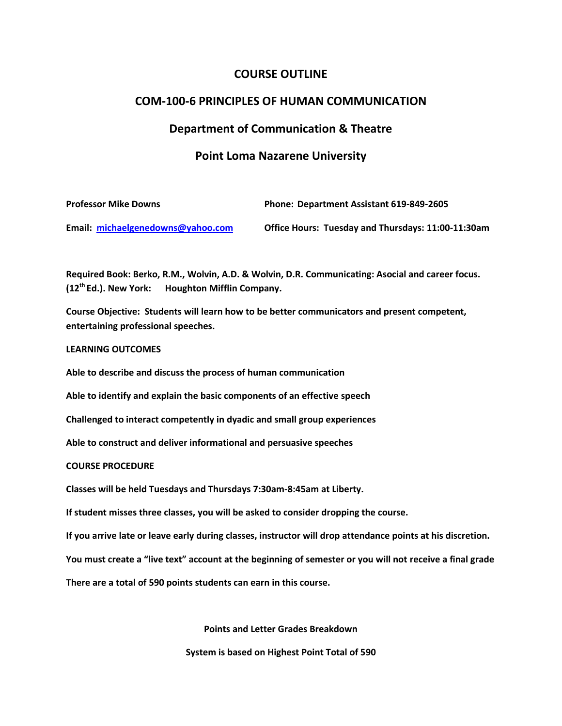## **COURSE OUTLINE**

## **COM-100-6 PRINCIPLES OF HUMAN COMMUNICATION**

#### **Department of Communication & Theatre**

#### **Point Loma Nazarene University**

| <b>Professor Mike Downs</b>       | Phone: Department Assistant 619-849-2605           |
|-----------------------------------|----------------------------------------------------|
| Email: michaelgenedowns@yahoo.com | Office Hours: Tuesday and Thursdays: 11:00-11:30am |

**Required Book: Berko, R.M., Wolvin, A.D. & Wolvin, D.R. Communicating: Asocial and career focus. (12th Ed.). New York: Houghton Mifflin Company.**

**Course Objective: Students will learn how to be better communicators and present competent, entertaining professional speeches.**

#### **LEARNING OUTCOMES**

**Able to describe and discuss the process of human communication**

**Able to identify and explain the basic components of an effective speech**

**Challenged to interact competently in dyadic and small group experiences**

**Able to construct and deliver informational and persuasive speeches**

#### **COURSE PROCEDURE**

**Classes will be held Tuesdays and Thursdays 7:30am-8:45am at Liberty.**

**If student misses three classes, you will be asked to consider dropping the course.**

**If you arrive late or leave early during classes, instructor will drop attendance points at his discretion.**

**You must create a "live text" account at the beginning of semester or you will not receive a final grade**

**There are a total of 590 points students can earn in this course.**

**Points and Letter Grades Breakdown**

**System is based on Highest Point Total of 590**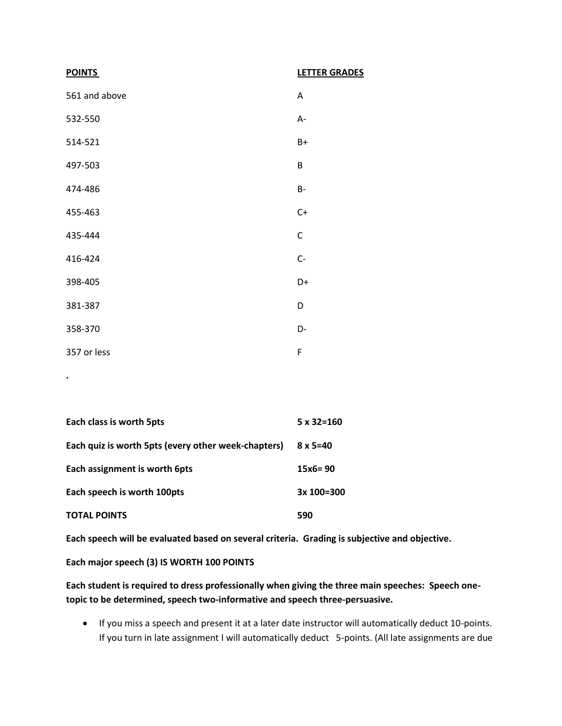| <b>POINTS</b> | <b>LETTER GRADES</b> |
|---------------|----------------------|
| 561 and above | A                    |
| 532-550       | A-                   |
| 514-521       | B+                   |
| 497-503       | B                    |
| 474-486       | <b>B-</b>            |
| 455-463       | $C+$                 |
| 435-444       | $\mathsf C$          |
| 416-424       | $C -$                |
| 398-405       | D+                   |
| 381-387       | D                    |
| 358-370       | D-                   |
| 357 or less   | F                    |

| Each class is worth 5pts                            | $5 \times 32 = 160$ |
|-----------------------------------------------------|---------------------|
| Each quiz is worth 5pts (every other week-chapters) | $8 \times 5 = 40$   |
| Each assignment is worth 6pts                       | $15x6 = 90$         |
| Each speech is worth 100pts                         | 3x 100=300          |
| <b>TOTAL POINTS</b>                                 | 590                 |

**Each speech will be evaluated based on several criteria. Grading is subjective and objective.**

**Each major speech (3) IS WORTH 100 POINTS**

**.**

**Each student is required to dress professionally when giving the three main speeches: Speech onetopic to be determined, speech two-informative and speech three-persuasive.** 

 If you miss a speech and present it at a later date instructor will automatically deduct 10-points. If you turn in late assignment I will automatically deduct 5-points. (All late assignments are due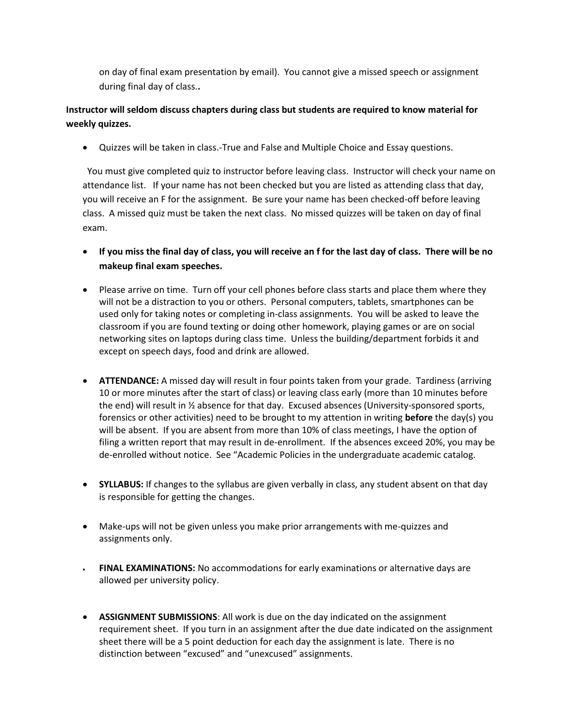on day of final exam presentation by email). You cannot give a missed speech or assignment during final day of class.**.**

# **Instructor will seldom discuss chapters during class but students are required to know material for weekly quizzes.**

Quizzes will be taken in class.-True and False and Multiple Choice and Essay questions.

 You must give completed quiz to instructor before leaving class. Instructor will check your name on attendance list. If your name has not been checked but you are listed as attending class that day, you will receive an F for the assignment. Be sure your name has been checked-off before leaving class. A missed quiz must be taken the next class. No missed quizzes will be taken on day of final exam.

- **If you miss the final day of class, you will receive an f for the last day of class. There will be no makeup final exam speeches.**
- Please arrive on time. Turn off your cell phones before class starts and place them where they will not be a distraction to you or others. Personal computers, tablets, smartphones can be used only for taking notes or completing in-class assignments. You will be asked to leave the classroom if you are found texting or doing other homework, playing games or are on social networking sites on laptops during class time. Unless the building/department forbids it and except on speech days, food and drink are allowed.
- **ATTENDANCE:** A missed day will result in four points taken from your grade. Tardiness (arriving 10 or more minutes after the start of class) or leaving class early (more than 10 minutes before the end) will result in ½ absence for that day. Excused absences (University-sponsored sports, forensics or other activities) need to be brought to my attention in writing **before** the day(s) you will be absent. If you are absent from more than 10% of class meetings, I have the option of filing a written report that may result in de-enrollment. If the absences exceed 20%, you may be de-enrolled without notice. See "Academic Policies in the undergraduate academic catalog.
- **SYLLABUS:** If changes to the syllabus are given verbally in class, any student absent on that day is responsible for getting the changes.
- Make-ups will not be given unless you make prior arrangements with me-quizzes and assignments only.
- **FINAL EXAMINATIONS:** No accommodations for early examinations or alternative days are allowed per university policy.
- **ASSIGNMENT SUBMISSIONS**: All work is due on the day indicated on the assignment requirement sheet. If you turn in an assignment after the due date indicated on the assignment sheet there will be a 5 point deduction for each day the assignment is late. There is no distinction between "excused" and "unexcused" assignments.